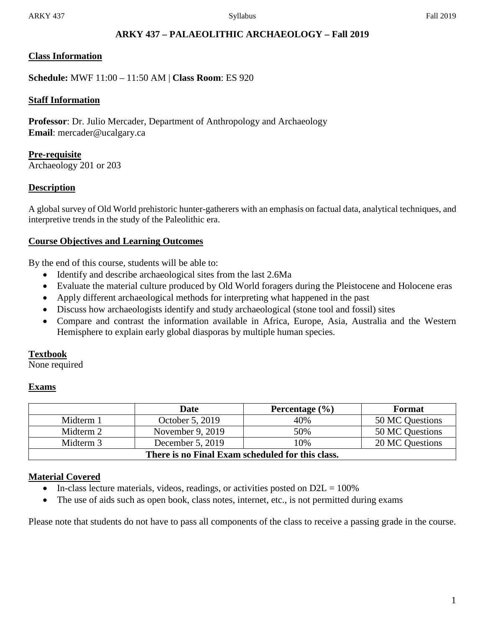## **ARKY 437 – PALAEOLITHIC ARCHAEOLOGY – Fall 2019**

### **Class Information**

**Schedule:** MWF 11:00 – 11:50 AM | **Class Room**: ES 920

### **Staff Information**

**Professor**: Dr. Julio Mercader, Department of Anthropology and Archaeology **Email**: mercader@ucalgary.ca

**Pre-requisite** Archaeology 201 or 203

### **Description**

A global survey of Old World prehistoric hunter-gatherers with an emphasis on factual data, analytical techniques, and interpretive trends in the study of the Paleolithic era.

### **Course Objectives and Learning Outcomes**

By the end of this course, students will be able to:

- Identify and describe archaeological sites from the last 2.6Ma
- Evaluate the material culture produced by Old World foragers during the Pleistocene and Holocene eras
- Apply different archaeological methods for interpreting what happened in the past
- Discuss how archaeologists identify and study archaeological (stone tool and fossil) sites
- Compare and contrast the information available in Africa, Europe, Asia, Australia and the Western Hemisphere to explain early global diasporas by multiple human species.

#### **Textbook**

None required

#### **Exams**

|                                                  | Date             | Percentage $(\% )$ | <b>Format</b>   |  |  |  |
|--------------------------------------------------|------------------|--------------------|-----------------|--|--|--|
| Midterm 1                                        | October 5, 2019  | 40%                | 50 MC Questions |  |  |  |
| Midterm 2                                        | November 9, 2019 | 50%                | 50 MC Questions |  |  |  |
| Midterm 3                                        | December 5, 2019 | 10%                | 20 MC Questions |  |  |  |
| There is no Final Exam scheduled for this class. |                  |                    |                 |  |  |  |

## **Material Covered**

- In-class lecture materials, videos, readings, or activities posted on  $D2L = 100\%$
- The use of aids such as open book, class notes, internet, etc., is not permitted during exams

Please note that students do not have to pass all components of the class to receive a passing grade in the course.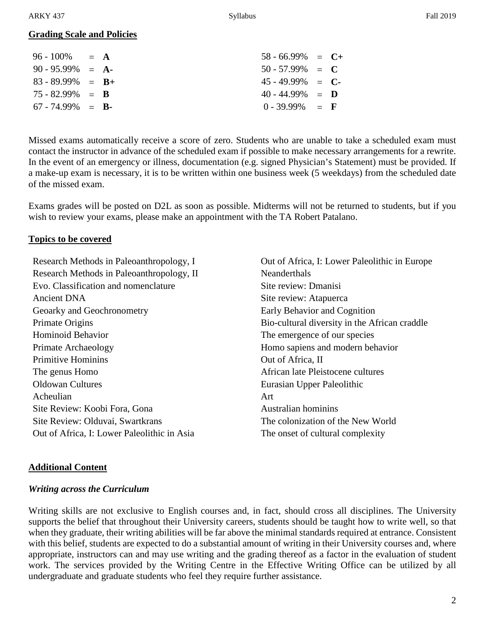## **Grading Scale and Policies**

| $96 - 100\% = A$     |  | $58 - 66.99\% = C +$ |  |
|----------------------|--|----------------------|--|
| $90 - 95.99\% = A$   |  | $50 - 57.99\% = C$   |  |
| $83 - 89.99\% = B +$ |  | $45 - 49.99\% = C$   |  |
| $75 - 82.99\% = R$   |  | $40 - 44.99\% = D$   |  |
| $67 - 74.99\% = R$   |  | $0 - 39.99\% = F$    |  |
|                      |  |                      |  |

Missed exams automatically receive a score of zero. Students who are unable to take a scheduled exam must contact the instructor in advance of the scheduled exam if possible to make necessary arrangements for a rewrite. In the event of an emergency or illness, documentation (e.g. signed Physician's Statement) must be provided. If a make-up exam is necessary, it is to be written within one business week (5 weekdays) from the scheduled date of the missed exam.

Exams grades will be posted on D2L as soon as possible. Midterms will not be returned to students, but if you wish to review your exams, please make an appointment with the TA Robert Patalano.

### **Topics to be covered**

Research Methods in Paleoanthropology, I Research Methods in Paleoanthropology, II Evo. Classification and nomenclature Ancient DNA Geoarky and Geochronometry Primate Origins Hominoid Behavior Primate Archaeology Primitive Hominins The genus Homo Oldowan Cultures Acheulian Site Review: Koobi Fora, Gona Site Review: Olduvai, Swartkrans Out of Africa, I: Lower Paleolithic in Asia

Out of Africa, I: Lower Paleolithic in Europe Neanderthals Site review: Dmanisi Site review: Atapuerca Early Behavior and Cognition Bio-cultural diversity in the African craddle The emergence of our species Homo sapiens and modern behavior Out of Africa, II African late Pleistocene cultures Eurasian Upper Paleolithic Art Australian hominins The colonization of the New World The onset of cultural complexity

## **Additional Content**

## *Writing across the Curriculum*

Writing skills are not exclusive to English courses and, in fact, should cross all disciplines. The University supports the belief that throughout their University careers, students should be taught how to write well, so that when they graduate, their writing abilities will be far above the minimal standards required at entrance. Consistent with this belief, students are expected to do a substantial amount of writing in their University courses and, where appropriate, instructors can and may use writing and the grading thereof as a factor in the evaluation of student work. The services provided by the Writing Centre in the Effective Writing Office can be utilized by all undergraduate and graduate students who feel they require further assistance.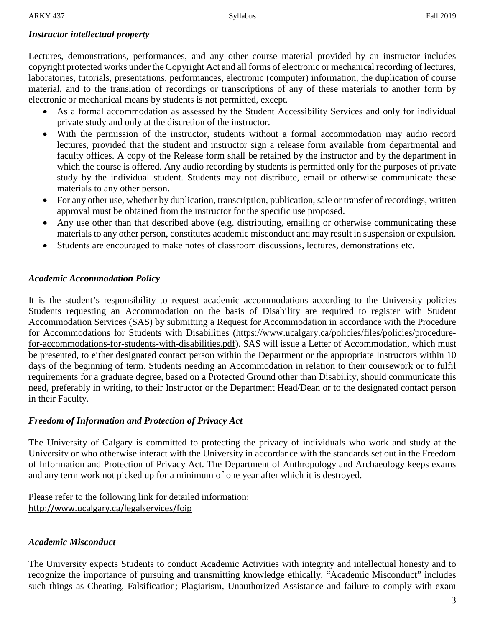# *Instructor intellectual property*

Lectures, demonstrations, performances, and any other course material provided by an instructor includes copyright protected works under the Copyright Act and all forms of electronic or mechanical recording of lectures, laboratories, tutorials, presentations, performances, electronic (computer) information, the duplication of course material, and to the translation of recordings or transcriptions of any of these materials to another form by electronic or mechanical means by students is not permitted, except.

- As a formal accommodation as assessed by the Student Accessibility Services and only for individual private study and only at the discretion of the instructor.
- With the permission of the instructor, students without a formal accommodation may audio record lectures, provided that the student and instructor sign a release form available from departmental and faculty offices. A copy of the Release form shall be retained by the instructor and by the department in which the course is offered. Any audio recording by students is permitted only for the purposes of private study by the individual student. Students may not distribute, email or otherwise communicate these materials to any other person.
- For any other use, whether by duplication, transcription, publication, sale or transfer of recordings, written approval must be obtained from the instructor for the specific use proposed.
- Any use other than that described above (e.g. distributing, emailing or otherwise communicating these materials to any other person, constitutes academic misconduct and may result in suspension or expulsion.
- Students are encouraged to make notes of classroom discussions, lectures, demonstrations etc.

## *Academic Accommodation Policy*

It is the student's responsibility to request academic accommodations according to the University policies Students requesting an Accommodation on the basis of Disability are required to register with Student Accommodation Services (SAS) by submitting a Request for Accommodation in accordance with the Procedure for Accommodations for Students with Disabilities [\(https://www.ucalgary.ca/policies/files/policies/procedure](https://www.ucalgary.ca/policies/files/policies/procedure-for-accommodations-for-students-with-disabilities.pdf)[for-accommodations-for-students-with-disabilities.pdf\)](https://www.ucalgary.ca/policies/files/policies/procedure-for-accommodations-for-students-with-disabilities.pdf). SAS will issue a Letter of Accommodation, which must be presented, to either designated contact person within the Department or the appropriate Instructors within 10 days of the beginning of term. Students needing an Accommodation in relation to their coursework or to fulfil requirements for a graduate degree, based on a Protected Ground other than Disability, should communicate this need, preferably in writing, to their Instructor or the Department Head/Dean or to the designated contact person in their Faculty.

# *Freedom of Information and Protection of Privacy Act*

The University of Calgary is committed to protecting the privacy of individuals who work and study at the University or who otherwise interact with the University in accordance with the standards set out in the Freedom of Information and Protection of Privacy Act. The Department of Anthropology and Archaeology keeps exams and any term work not picked up for a minimum of one year after which it is destroyed.

Please refer to the following link for detailed information: [htp://www.ucalgary.ca/legalservices/foip](http://www.ucalgary.ca/legalservices/foip)

# *Academic Misconduct*

The University expects Students to conduct Academic Activities with integrity and intellectual honesty and to recognize the importance of pursuing and transmitting knowledge ethically. "Academic Misconduct" includes such things as Cheating, Falsification; Plagiarism, Unauthorized Assistance and failure to comply with exam